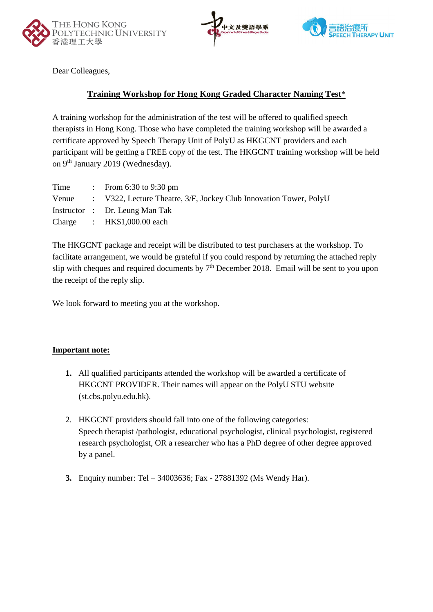





Dear Colleagues,

### **Training Workshop for Hong Kong Graded Character Naming Test**\*

A training workshop for the administration of the test will be offered to qualified speech therapists in Hong Kong. Those who have completed the training workshop will be awarded a certificate approved by Speech Therapy Unit of PolyU as HKGCNT providers and each participant will be getting a FREE copy of the test. The HKGCNT training workshop will be held on 9<sup>th</sup> January 2019 (Wednesday).

| Time | : From $6:30$ to $9:30$ pm                                              |
|------|-------------------------------------------------------------------------|
|      | Venue : V322, Lecture Theatre, 3/F, Jockey Club Innovation Tower, PolyU |
|      | Instructor : Dr. Leung Man Tak                                          |
|      | Charge : $HK$1,000.00$ each                                             |
|      |                                                                         |

The HKGCNT package and receipt will be distributed to test purchasers at the workshop. To facilitate arrangement, we would be grateful if you could respond by returning the attached reply slip with cheques and required documents by  $7<sup>th</sup>$  December 2018. Email will be sent to you upon the receipt of the reply slip.

We look forward to meeting you at the workshop.

#### **Important note:**

- **1.** All qualified participants attended the workshop will be awarded a certificate of HKGCNT PROVIDER. Their names will appear on the PolyU STU website (st.cbs.polyu.edu.hk).
- 2. HKGCNT providers should fall into one of the following categories: Speech therapist /pathologist, educational psychologist, clinical psychologist, registered research psychologist, OR a researcher who has a PhD degree of other degree approved by a panel.
- **3.** Enquiry number: Tel 34003636; Fax 27881392 (Ms Wendy Har).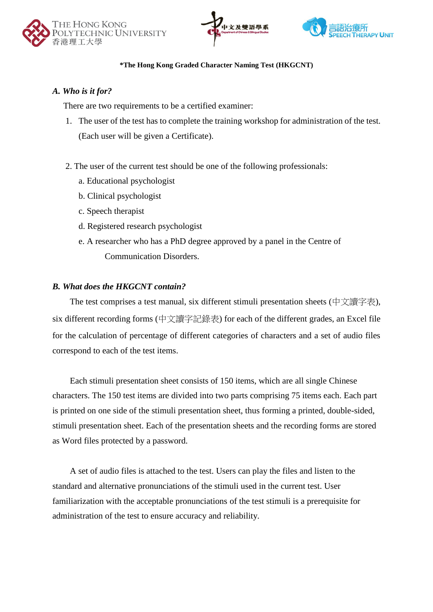





#### **\*The Hong Kong Graded Character Naming Test (HKGCNT)**

#### *A. Who is it for?*

There are two requirements to be a certified examiner:

- 1. The user of the test has to complete the training workshop for administration of the test. (Each user will be given a Certificate).
- 2. The user of the current test should be one of the following professionals:
	- a. Educational psychologist
	- b. Clinical psychologist
	- c. Speech therapist
	- d. Registered research psychologist
	- e. A researcher who has a PhD degree approved by a panel in the Centre of Communication Disorders.

#### *B. What does the HKGCNT contain?*

The test comprises a test manual, six different stimuli presentation sheets (中文讀字表), six different recording forms (中文讀字記錄表) for each of the different grades, an Excel file for the calculation of percentage of different categories of characters and a set of audio files correspond to each of the test items.

Each stimuli presentation sheet consists of 150 items, which are all single Chinese characters. The 150 test items are divided into two parts comprising 75 items each. Each part is printed on one side of the stimuli presentation sheet, thus forming a printed, double-sided, stimuli presentation sheet. Each of the presentation sheets and the recording forms are stored as Word files protected by a password.

A set of audio files is attached to the test. Users can play the files and listen to the standard and alternative pronunciations of the stimuli used in the current test. User familiarization with the acceptable pronunciations of the test stimuli is a prerequisite for administration of the test to ensure accuracy and reliability.